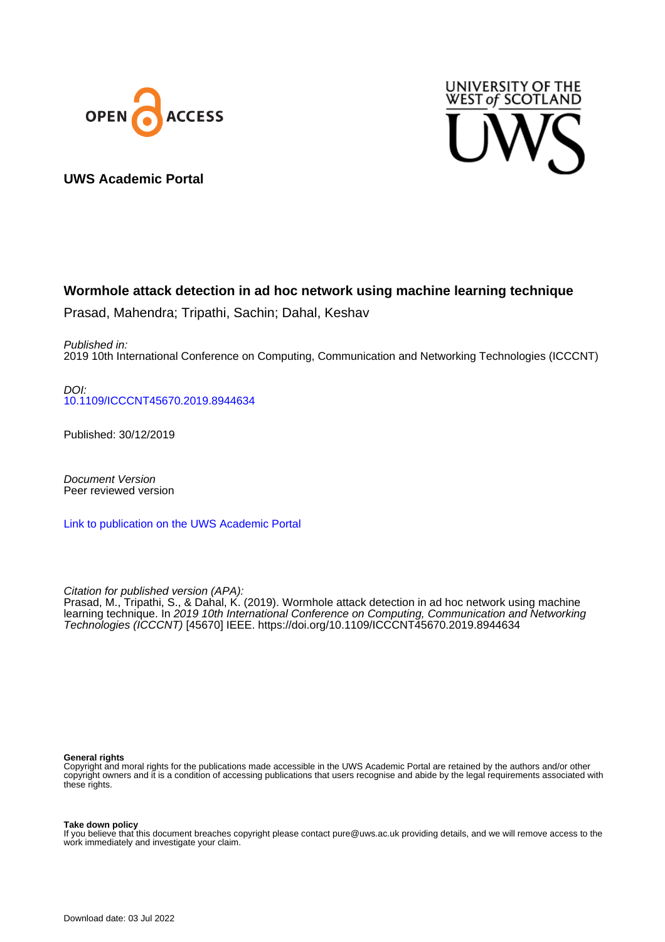



## **UWS Academic Portal**

# **Wormhole attack detection in ad hoc network using machine learning technique**

Prasad, Mahendra; Tripathi, Sachin; Dahal, Keshav

Published in: 2019 10th International Conference on Computing, Communication and Networking Technologies (ICCCNT)

DOI: [10.1109/ICCCNT45670.2019.8944634](https://doi.org/10.1109/ICCCNT45670.2019.8944634)

Published: 30/12/2019

Document Version Peer reviewed version

[Link to publication on the UWS Academic Portal](https://uws.pure.elsevier.com/en/publications/9ca1f011-850d-4dda-8c2a-9740e159fe72)

Citation for published version (APA): Prasad, M., Tripathi, S., & Dahal, K. (2019). Wormhole attack detection in ad hoc network using machine learning technique. In 2019 10th International Conference on Computing, Communication and Networking Technologies (ICCCNT) [45670] IEEE. <https://doi.org/10.1109/ICCCNT45670.2019.8944634>

#### **General rights**

Copyright and moral rights for the publications made accessible in the UWS Academic Portal are retained by the authors and/or other copyright owners and it is a condition of accessing publications that users recognise and abide by the legal requirements associated with these rights.

#### **Take down policy**

If you believe that this document breaches copyright please contact pure@uws.ac.uk providing details, and we will remove access to the work immediately and investigate your claim.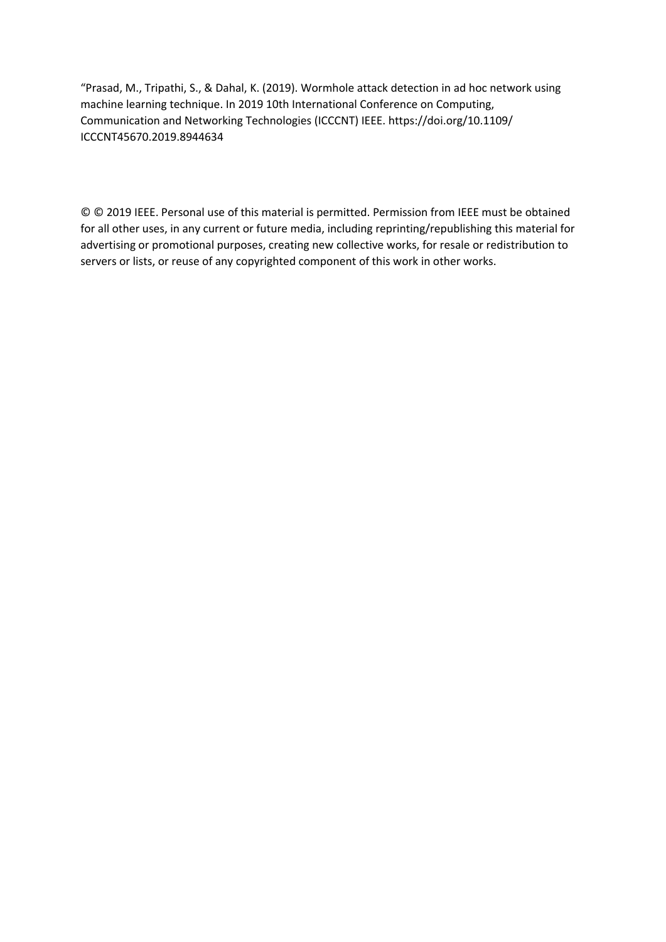"Prasad, M., Tripathi, S., & Dahal, K. (2019). Wormhole attack detection in ad hoc network using machine learning technique. In 2019 10th International Conference on Computing, Communication and Networking Technologies (ICCCNT) IEEE. https://doi.org/10.1109/ ICCCNT45670.2019.8944634

© © 2019 IEEE. Personal use of this material is permitted. Permission from IEEE must be obtained for all other uses, in any current or future media, including reprinting/republishing this material for advertising or promotional purposes, creating new collective works, for resale or redistribution to servers or lists, or reuse of any copyrighted component of this work in other works.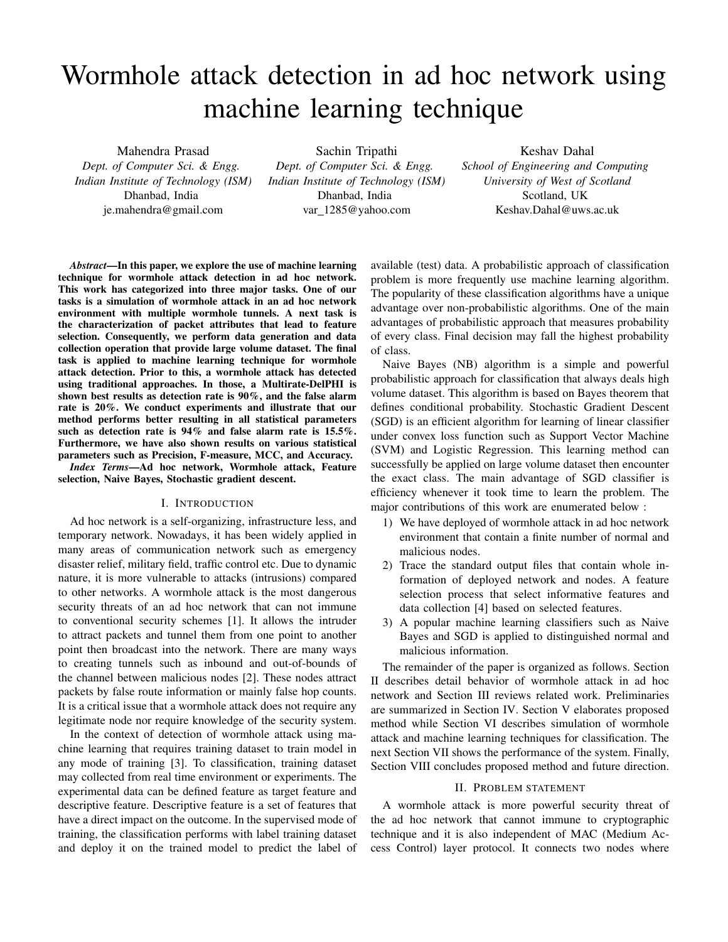# Wormhole attack detection in ad hoc network using machine learning technique

Mahendra Prasad *Dept. of Computer Sci. & Engg. Indian Institute of Technology (ISM)* Dhanbad, India je.mahendra@gmail.com

Sachin Tripathi

*Dept. of Computer Sci. & Engg. Indian Institute of Technology (ISM)* Dhanbad, India var\_1285@yahoo.com

## Keshav Dahal

*School of Engineering and Computing University of West of Scotland* Scotland, UK Keshav.Dahal@uws.ac.uk

*Abstract*—In this paper, we explore the use of machine learning technique for wormhole attack detection in ad hoc network. This work has categorized into three major tasks. One of our tasks is a simulation of wormhole attack in an ad hoc network environment with multiple wormhole tunnels. A next task is the characterization of packet attributes that lead to feature selection. Consequently, we perform data generation and data collection operation that provide large volume dataset. The final task is applied to machine learning technique for wormhole attack detection. Prior to this, a wormhole attack has detected using traditional approaches. In those, a Multirate-DelPHI is shown best results as detection rate is 90%, and the false alarm rate is 20%. We conduct experiments and illustrate that our method performs better resulting in all statistical parameters such as detection rate is 94% and false alarm rate is 15.5%. Furthermore, we have also shown results on various statistical parameters such as Precision, F-measure, MCC, and Accuracy.

*Index Terms*—Ad hoc network, Wormhole attack, Feature selection, Naive Bayes, Stochastic gradient descent.

#### I. INTRODUCTION

Ad hoc network is a self-organizing, infrastructure less, and temporary network. Nowadays, it has been widely applied in many areas of communication network such as emergency disaster relief, military field, traffic control etc. Due to dynamic nature, it is more vulnerable to attacks (intrusions) compared to other networks. A wormhole attack is the most dangerous security threats of an ad hoc network that can not immune to conventional security schemes [1]. It allows the intruder to attract packets and tunnel them from one point to another point then broadcast into the network. There are many ways to creating tunnels such as inbound and out-of-bounds of the channel between malicious nodes [2]. These nodes attract packets by false route information or mainly false hop counts. It is a critical issue that a wormhole attack does not require any legitimate node nor require knowledge of the security system.

In the context of detection of wormhole attack using machine learning that requires training dataset to train model in any mode of training [3]. To classification, training dataset may collected from real time environment or experiments. The experimental data can be defined feature as target feature and descriptive feature. Descriptive feature is a set of features that have a direct impact on the outcome. In the supervised mode of training, the classification performs with label training dataset and deploy it on the trained model to predict the label of available (test) data. A probabilistic approach of classification problem is more frequently use machine learning algorithm. The popularity of these classification algorithms have a unique advantage over non-probabilistic algorithms. One of the main advantages of probabilistic approach that measures probability of every class. Final decision may fall the highest probability of class.

Naive Bayes (NB) algorithm is a simple and powerful probabilistic approach for classification that always deals high volume dataset. This algorithm is based on Bayes theorem that defines conditional probability. Stochastic Gradient Descent (SGD) is an efficient algorithm for learning of linear classifier under convex loss function such as Support Vector Machine (SVM) and Logistic Regression. This learning method can successfully be applied on large volume dataset then encounter the exact class. The main advantage of SGD classifier is efficiency whenever it took time to learn the problem. The major contributions of this work are enumerated below :

- 1) We have deployed of wormhole attack in ad hoc network environment that contain a finite number of normal and malicious nodes.
- 2) Trace the standard output files that contain whole information of deployed network and nodes. A feature selection process that select informative features and data collection [4] based on selected features.
- 3) A popular machine learning classifiers such as Naive Bayes and SGD is applied to distinguished normal and malicious information.

The remainder of the paper is organized as follows. Section II describes detail behavior of wormhole attack in ad hoc network and Section III reviews related work. Preliminaries are summarized in Section IV. Section V elaborates proposed method while Section VI describes simulation of wormhole attack and machine learning techniques for classification. The next Section VII shows the performance of the system. Finally, Section VIII concludes proposed method and future direction.

#### II. PROBLEM STATEMENT

A wormhole attack is more powerful security threat of the ad hoc network that cannot immune to cryptographic technique and it is also independent of MAC (Medium Access Control) layer protocol. It connects two nodes where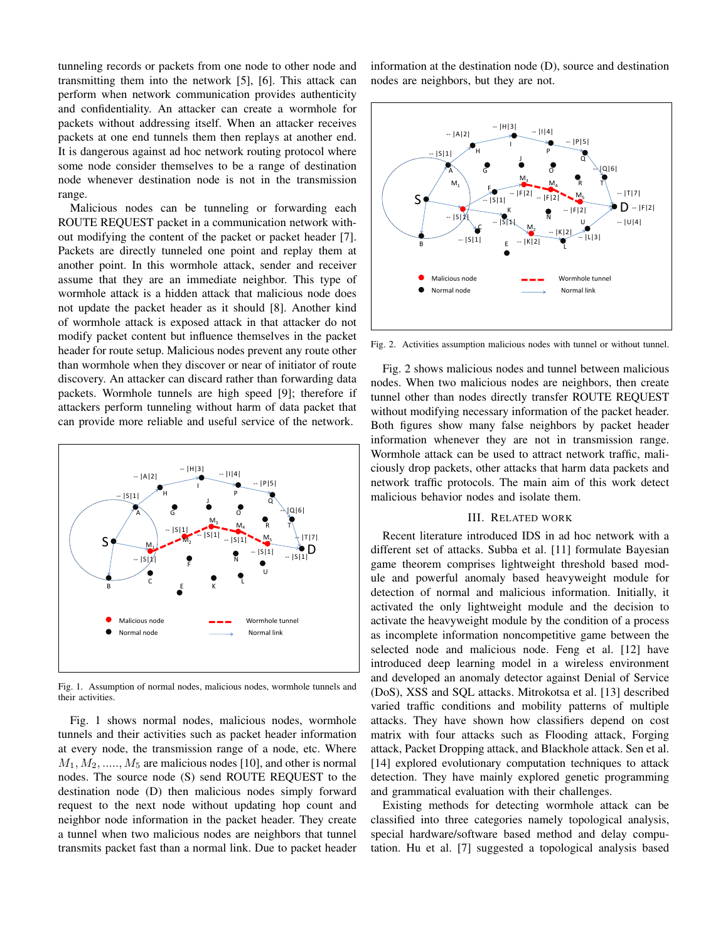tunneling records or packets from one node to other node and transmitting them into the network [5], [6]. This attack can perform when network communication provides authenticity and confidentiality. An attacker can create a wormhole for packets without addressing itself. When an attacker receives packets at one end tunnels them then replays at another end. It is dangerous against ad hoc network routing protocol where some node consider themselves to be a range of destination node whenever destination node is not in the transmission range.

Malicious nodes can be tunneling or forwarding each ROUTE REQUEST packet in a communication network without modifying the content of the packet or packet header [7]. Packets are directly tunneled one point and replay them at another point. In this wormhole attack, sender and receiver assume that they are an immediate neighbor. This type of wormhole attack is a hidden attack that malicious node does not update the packet header as it should [8]. Another kind of wormhole attack is exposed attack in that attacker do not modify packet content but influence themselves in the packet header for route setup. Malicious nodes prevent any route other than wormhole when they discover or near of initiator of route discovery. An attacker can discard rather than forwarding data packets. Wormhole tunnels are high speed [9]; therefore if attackers perform tunneling without harm of data packet that can provide more reliable and useful service of the network.



Fig. 1. Assumption of normal nodes, malicious nodes, wormhole tunnels and their activities.

Fig. 1 shows normal nodes, malicious nodes, wormhole tunnels and their activities such as packet header information at every node, the transmission range of a node, etc. Where  $M_1, M_2, \ldots, M_5$  are malicious nodes [10], and other is normal nodes. The source node (S) send ROUTE REQUEST to the destination node (D) then malicious nodes simply forward request to the next node without updating hop count and neighbor node information in the packet header. They create a tunnel when two malicious nodes are neighbors that tunnel transmits packet fast than a normal link. Due to packet header information at the destination node (D), source and destination nodes are neighbors, but they are not.



Fig. 2. Activities assumption malicious nodes with tunnel or without tunnel.

Fig. 2 shows malicious nodes and tunnel between malicious nodes. When two malicious nodes are neighbors, then create tunnel other than nodes directly transfer ROUTE REQUEST without modifying necessary information of the packet header. Both figures show many false neighbors by packet header information whenever they are not in transmission range. Wormhole attack can be used to attract network traffic, maliciously drop packets, other attacks that harm data packets and network traffic protocols. The main aim of this work detect malicious behavior nodes and isolate them.

#### III. RELATED WORK

Recent literature introduced IDS in ad hoc network with a different set of attacks. Subba et al. [11] formulate Bayesian game theorem comprises lightweight threshold based module and powerful anomaly based heavyweight module for detection of normal and malicious information. Initially, it activated the only lightweight module and the decision to activate the heavyweight module by the condition of a process as incomplete information noncompetitive game between the selected node and malicious node. Feng et al. [12] have introduced deep learning model in a wireless environment and developed an anomaly detector against Denial of Service (DoS), XSS and SQL attacks. Mitrokotsa et al. [13] described varied traffic conditions and mobility patterns of multiple attacks. They have shown how classifiers depend on cost matrix with four attacks such as Flooding attack, Forging attack, Packet Dropping attack, and Blackhole attack. Sen et al. [14] explored evolutionary computation techniques to attack detection. They have mainly explored genetic programming and grammatical evaluation with their challenges.

Existing methods for detecting wormhole attack can be classified into three categories namely topological analysis, special hardware/software based method and delay computation. Hu et al. [7] suggested a topological analysis based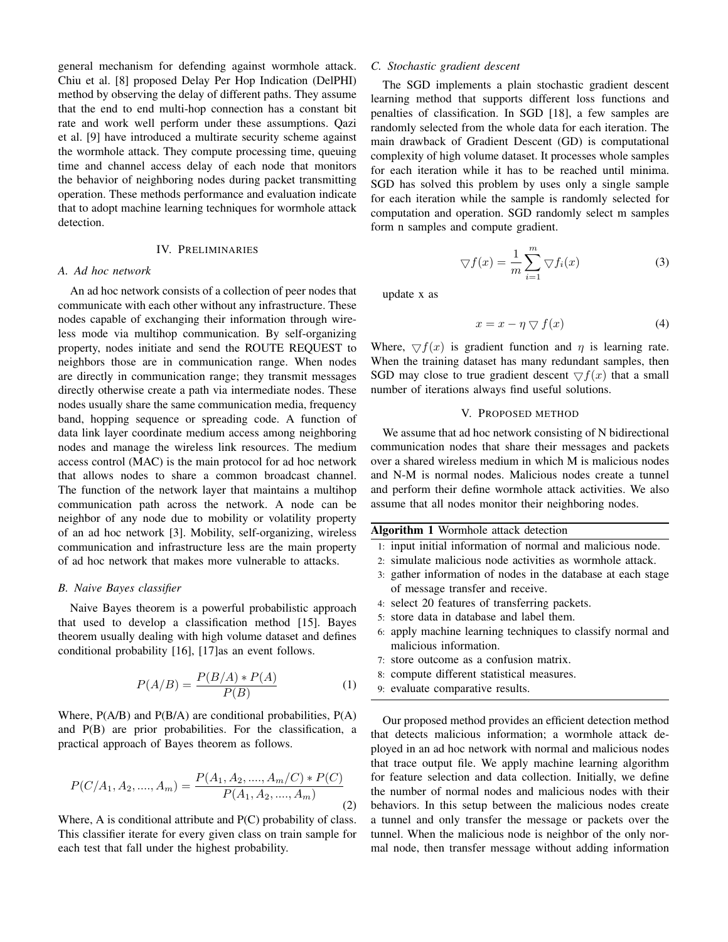general mechanism for defending against wormhole attack. Chiu et al. [8] proposed Delay Per Hop Indication (DelPHI) method by observing the delay of different paths. They assume that the end to end multi-hop connection has a constant bit rate and work well perform under these assumptions. Qazi et al. [9] have introduced a multirate security scheme against the wormhole attack. They compute processing time, queuing time and channel access delay of each node that monitors the behavior of neighboring nodes during packet transmitting operation. These methods performance and evaluation indicate that to adopt machine learning techniques for wormhole attack detection.

#### IV. PRELIMINARIES

#### *A. Ad hoc network*

An ad hoc network consists of a collection of peer nodes that communicate with each other without any infrastructure. These nodes capable of exchanging their information through wireless mode via multihop communication. By self-organizing property, nodes initiate and send the ROUTE REQUEST to neighbors those are in communication range. When nodes are directly in communication range; they transmit messages directly otherwise create a path via intermediate nodes. These nodes usually share the same communication media, frequency band, hopping sequence or spreading code. A function of data link layer coordinate medium access among neighboring nodes and manage the wireless link resources. The medium access control (MAC) is the main protocol for ad hoc network that allows nodes to share a common broadcast channel. The function of the network layer that maintains a multihop communication path across the network. A node can be neighbor of any node due to mobility or volatility property of an ad hoc network [3]. Mobility, self-organizing, wireless communication and infrastructure less are the main property of ad hoc network that makes more vulnerable to attacks.

#### *B. Naive Bayes classifier*

Naive Bayes theorem is a powerful probabilistic approach that used to develop a classification method [15]. Bayes theorem usually dealing with high volume dataset and defines conditional probability [16], [17]as an event follows.

$$
P(A/B) = \frac{P(B/A) * P(A)}{P(B)}\tag{1}
$$

Where, P(A/B) and P(B/A) are conditional probabilities, P(A) and P(B) are prior probabilities. For the classification, a practical approach of Bayes theorem as follows.

$$
P(C/A_1, A_2, \dots, A_m) = \frac{P(A_1, A_2, \dots, A_m/C) * P(C)}{P(A_1, A_2, \dots, A_m)}
$$
(2)

Where, A is conditional attribute and P(C) probability of class. This classifier iterate for every given class on train sample for each test that fall under the highest probability.

#### *C. Stochastic gradient descent*

The SGD implements a plain stochastic gradient descent learning method that supports different loss functions and penalties of classification. In SGD [18], a few samples are randomly selected from the whole data for each iteration. The main drawback of Gradient Descent (GD) is computational complexity of high volume dataset. It processes whole samples for each iteration while it has to be reached until minima. SGD has solved this problem by uses only a single sample for each iteration while the sample is randomly selected for computation and operation. SGD randomly select m samples form n samples and compute gradient.

$$
\nabla f(x) = \frac{1}{m} \sum_{i=1}^{m} \nabla f_i(x)
$$
 (3)

update x as

$$
x = x - \eta \nabla f(x) \tag{4}
$$

Where,  $\nabla f(x)$  is gradient function and  $\eta$  is learning rate. When the training dataset has many redundant samples, then SGD may close to true gradient descent  $\bigtriangledown f(x)$  that a small number of iterations always find useful solutions.

#### V. PROPOSED METHOD

We assume that ad hoc network consisting of N bidirectional communication nodes that share their messages and packets over a shared wireless medium in which M is malicious nodes and N-M is normal nodes. Malicious nodes create a tunnel and perform their define wormhole attack activities. We also assume that all nodes monitor their neighboring nodes.

| <b>Algorithm 1</b> Wormhole attack detection |                                                              |  |  |  |  |  |
|----------------------------------------------|--------------------------------------------------------------|--|--|--|--|--|
|                                              | 1: input initial information of normal and malicious node.   |  |  |  |  |  |
|                                              | 2: simulate malicious node activities as wormhole attack.    |  |  |  |  |  |
|                                              | 3: gather information of nodes in the database at each stage |  |  |  |  |  |
|                                              | of message transfer and receive.                             |  |  |  |  |  |
|                                              | 4: select 20 features of transferring packets.               |  |  |  |  |  |
|                                              | 5: store data in database and label them.                    |  |  |  |  |  |
|                                              | 6. apply machine learning techniques to classify normal and  |  |  |  |  |  |

- 6: apply machine learning techniques to classify normal and malicious information.
- 7: store outcome as a confusion matrix.
- 8: compute different statistical measures.
- 9: evaluate comparative results.

Our proposed method provides an efficient detection method that detects malicious information; a wormhole attack deployed in an ad hoc network with normal and malicious nodes that trace output file. We apply machine learning algorithm for feature selection and data collection. Initially, we define the number of normal nodes and malicious nodes with their behaviors. In this setup between the malicious nodes create a tunnel and only transfer the message or packets over the tunnel. When the malicious node is neighbor of the only normal node, then transfer message without adding information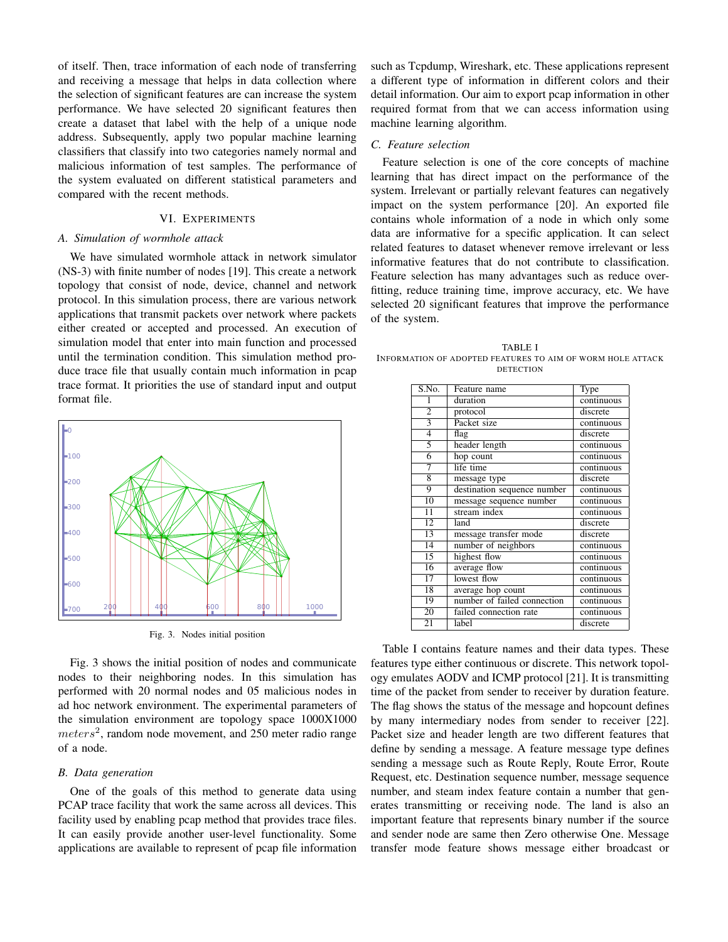of itself. Then, trace information of each node of transferring and receiving a message that helps in data collection where the selection of significant features are can increase the system performance. We have selected 20 significant features then create a dataset that label with the help of a unique node address. Subsequently, apply two popular machine learning classifiers that classify into two categories namely normal and malicious information of test samples. The performance of the system evaluated on different statistical parameters and compared with the recent methods.

#### VI. EXPERIMENTS

#### *A. Simulation of wormhole attack*

We have simulated wormhole attack in network simulator (NS-3) with finite number of nodes [19]. This create a network topology that consist of node, device, channel and network protocol. In this simulation process, there are various network applications that transmit packets over network where packets either created or accepted and processed. An execution of simulation model that enter into main function and processed until the termination condition. This simulation method produce trace file that usually contain much information in pcap trace format. It priorities the use of standard input and output format file.



Fig. 3. Nodes initial position

Fig. 3 shows the initial position of nodes and communicate nodes to their neighboring nodes. In this simulation has performed with 20 normal nodes and 05 malicious nodes in ad hoc network environment. The experimental parameters of the simulation environment are topology space 1000X1000  $meters<sup>2</sup>$ , random node movement, and 250 meter radio range of a node.

#### *B. Data generation*

One of the goals of this method to generate data using PCAP trace facility that work the same across all devices. This facility used by enabling pcap method that provides trace files. It can easily provide another user-level functionality. Some applications are available to represent of pcap file information such as Tcpdump, Wireshark, etc. These applications represent a different type of information in different colors and their detail information. Our aim to export pcap information in other required format from that we can access information using machine learning algorithm.

### *C. Feature selection*

Feature selection is one of the core concepts of machine learning that has direct impact on the performance of the system. Irrelevant or partially relevant features can negatively impact on the system performance [20]. An exported file contains whole information of a node in which only some data are informative for a specific application. It can select related features to dataset whenever remove irrelevant or less informative features that do not contribute to classification. Feature selection has many advantages such as reduce overfitting, reduce training time, improve accuracy, etc. We have selected 20 significant features that improve the performance of the system.

TABLE I INFORMATION OF ADOPTED FEATURES TO AIM OF WORM HOLE ATTACK **DETECTION** 

| S.No.                     | Feature name                | Type       |
|---------------------------|-----------------------------|------------|
| 1                         | duration                    | continuous |
| $\overline{2}$            | protocol                    | discrete   |
| $\overline{\overline{3}}$ | Packet size                 | continuous |
| $\overline{4}$            | flag                        | discrete   |
| 5                         | header length               | continuous |
| 6                         | hop count                   | continuous |
| 7                         | life time                   | continuous |
| 8                         | message type                | discrete   |
| 9                         | destination sequence number | continuous |
| 10                        | message sequence number     | continuous |
| 11                        | stream index                | continuous |
| 12                        | land                        | discrete   |
| 13                        | message transfer mode       | discrete   |
| 14                        | number of neighbors         | continuous |
| $\overline{15}$           | highest flow                | continuous |
| 16                        | average flow                | continuous |
| 17                        | lowest flow                 | continuous |
| 18                        | average hop count           | continuous |
| 19                        | number of failed connection | continuous |
| 20                        | failed connection rate      | continuous |
| $\overline{21}$           | label                       | discrete   |

Table I contains feature names and their data types. These features type either continuous or discrete. This network topology emulates AODV and ICMP protocol [21]. It is transmitting time of the packet from sender to receiver by duration feature. The flag shows the status of the message and hopcount defines by many intermediary nodes from sender to receiver [22]. Packet size and header length are two different features that define by sending a message. A feature message type defines sending a message such as Route Reply, Route Error, Route Request, etc. Destination sequence number, message sequence number, and steam index feature contain a number that generates transmitting or receiving node. The land is also an important feature that represents binary number if the source and sender node are same then Zero otherwise One. Message transfer mode feature shows message either broadcast or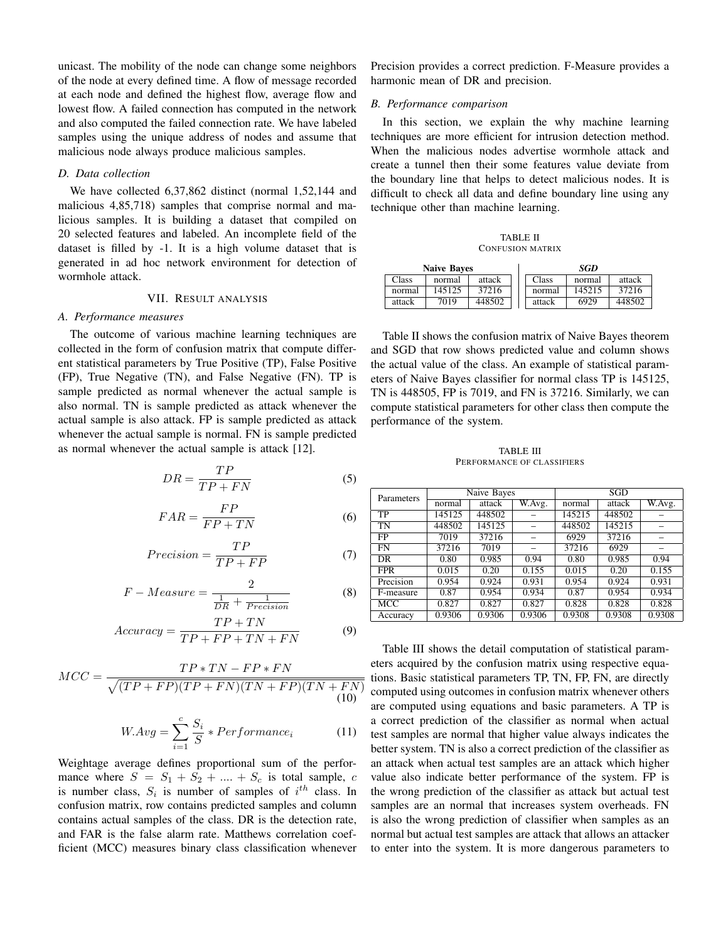unicast. The mobility of the node can change some neighbors of the node at every defined time. A flow of message recorded at each node and defined the highest flow, average flow and lowest flow. A failed connection has computed in the network and also computed the failed connection rate. We have labeled samples using the unique address of nodes and assume that malicious node always produce malicious samples.

#### *D. Data collection*

We have collected 6,37,862 distinct (normal 1,52,144 and malicious 4,85,718) samples that comprise normal and malicious samples. It is building a dataset that compiled on 20 selected features and labeled. An incomplete field of the dataset is filled by -1. It is a high volume dataset that is generated in ad hoc network environment for detection of wormhole attack.

#### VII. RESULT ANALYSIS

#### *A. Performance measures*

The outcome of various machine learning techniques are collected in the form of confusion matrix that compute different statistical parameters by True Positive (TP), False Positive (FP), True Negative (TN), and False Negative (FN). TP is sample predicted as normal whenever the actual sample is also normal. TN is sample predicted as attack whenever the actual sample is also attack. FP is sample predicted as attack whenever the actual sample is normal. FN is sample predicted as normal whenever the actual sample is attack [12].

$$
DR = \frac{TP}{TP + FN} \tag{5}
$$

$$
FAR = \frac{FP}{FP + TN} \tag{6}
$$

$$
Precision = \frac{TP}{TP + FP}
$$
 (7)

$$
F-Measure = \frac{2}{\frac{1}{DR} + \frac{1}{Precision}}\tag{8}
$$

$$
Accuracy = \frac{TP + TN}{TP + FP + TN + FN}
$$
 (9)

$$
MCC = \frac{TP * TN - FP * FN}{\sqrt{(TP + FP)(TP + FN)(TN + FP)(TN + FN)}}
$$
\n(10)

$$
W.Avg = \sum_{i=1}^{c} \frac{S_i}{S} * Performance_i \tag{11}
$$

Weightage average defines proportional sum of the performance where  $S = S_1 + S_2 + \dots + S_c$  is total sample, c is number class,  $S_i$  is number of samples of  $i^{th}$  class. In confusion matrix, row contains predicted samples and column contains actual samples of the class. DR is the detection rate, and FAR is the false alarm rate. Matthews correlation coefficient (MCC) measures binary class classification whenever

Precision provides a correct prediction. F-Measure provides a harmonic mean of DR and precision.

#### *B. Performance comparison*

In this section, we explain the why machine learning techniques are more efficient for intrusion detection method. When the malicious nodes advertise wormhole attack and create a tunnel then their some features value deviate from the boundary line that helps to detect malicious nodes. It is difficult to check all data and define boundary line using any technique other than machine learning.

TABLE II CONFUSION MATRIX

| <b>Naive Baves</b> |        |        |  | SGD    |        |        |  |
|--------------------|--------|--------|--|--------|--------|--------|--|
| Class              | normal | attack |  | Class  | normal | attack |  |
| normal             | 145125 | 37216  |  | normal | 145215 | 37216  |  |
| attack             | 7019   | 448502 |  | attack | 6929   | 448502 |  |

Table II shows the confusion matrix of Naive Bayes theorem and SGD that row shows predicted value and column shows the actual value of the class. An example of statistical parameters of Naive Bayes classifier for normal class TP is 145125, TN is 448505, FP is 7019, and FN is 37216. Similarly, we can compute statistical parameters for other class then compute the performance of the system.

TABLE III PERFORMANCE OF CLASSIFIERS

| Parameters |        | Naive Bayes |        | SGD    |        |        |  |
|------------|--------|-------------|--------|--------|--------|--------|--|
|            | normal | attack      | W.Avg. | normal | attack | W.Avg. |  |
| TP         | 145125 | 448502      |        | 145215 | 448502 |        |  |
| TN         | 448502 | 145125      |        | 448502 | 145215 |        |  |
| FP         | 7019   | 37216       |        | 6929   | 37216  |        |  |
| <b>FN</b>  | 37216  | 7019        |        | 37216  | 6929   |        |  |
| DR         | 0.80   | 0.985       | 0.94   | 0.80   | 0.985  | 0.94   |  |
| <b>FPR</b> | 0.015  | 0.20        | 0.155  | 0.015  | 0.20   | 0.155  |  |
| Precision  | 0.954  | 0.924       | 0.931  | 0.954  | 0.924  | 0.931  |  |
| F-measure  | 0.87   | 0.954       | 0.934  | 0.87   | 0.954  | 0.934  |  |
| <b>MCC</b> | 0.827  | 0.827       | 0.827  | 0.828  | 0.828  | 0.828  |  |
| Accuracy   | 0.9306 | 0.9306      | 0.9306 | 0.9308 | 0.9308 | 0.9308 |  |

Table III shows the detail computation of statistical parameters acquired by the confusion matrix using respective equa- $\frac{1}{x}$  tions. Basic statistical parameters TP, TN, FP, FN, are directly computed using outcomes in confusion matrix whenever others are computed using equations and basic parameters. A TP is a correct prediction of the classifier as normal when actual test samples are normal that higher value always indicates the better system. TN is also a correct prediction of the classifier as an attack when actual test samples are an attack which higher value also indicate better performance of the system. FP is the wrong prediction of the classifier as attack but actual test samples are an normal that increases system overheads. FN is also the wrong prediction of classifier when samples as an normal but actual test samples are attack that allows an attacker to enter into the system. It is more dangerous parameters to